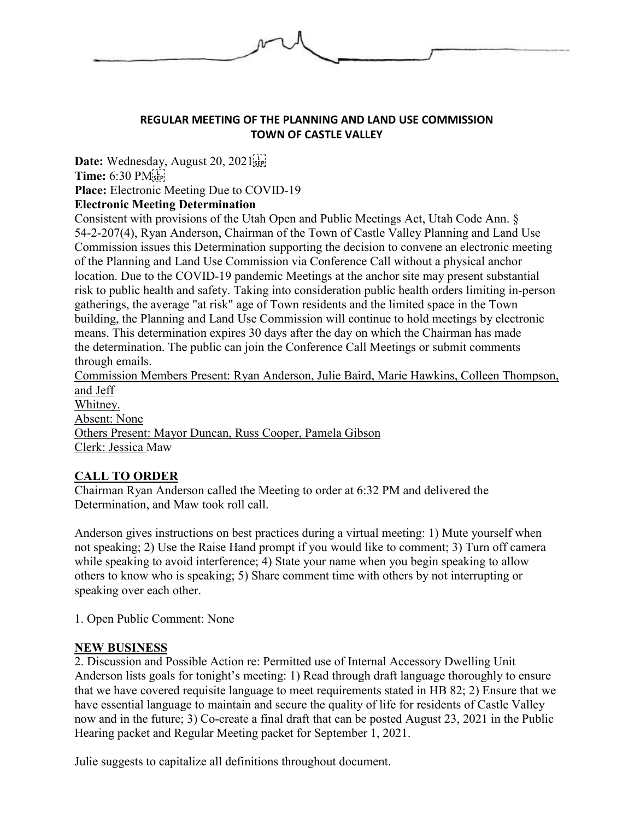

### **REGULAR MEETING OF THE PLANNING AND LAND USE COMMISSION TOWN OF CASTLE VALLEY**

Date: Wednesday, August 20, 2021<sup>[17]</sup> **Time:** 6:30 PM **Place:** Electronic Meeting Due to COVID-19

## **Electronic Meeting Determination**

Consistent with provisions of the Utah Open and Public Meetings Act, Utah Code Ann. § 54-2-207(4), Ryan Anderson, Chairman of the Town of Castle Valley Planning and Land Use Commission issues this Determination supporting the decision to convene an electronic meeting of the Planning and Land Use Commission via Conference Call without a physical anchor location. Due to the COVID-19 pandemic Meetings at the anchor site may present substantial risk to public health and safety. Taking into consideration public health orders limiting in-person gatherings, the average "at risk" age of Town residents and the limited space in the Town building, the Planning and Land Use Commission will continue to hold meetings by electronic means. This determination expires 30 days after the day on which the Chairman has made the determination. The public can join the Conference Call Meetings or submit comments through emails.

Commission Members Present: Ryan Anderson, Julie Baird, Marie Hawkins, Colleen Thompson, and Jeff Whitney. Absent: None Others Present: Mayor Duncan, Russ Cooper, Pamela Gibson Clerk: Jessica Maw

# **CALL TO ORDER**

Chairman Ryan Anderson called the Meeting to order at 6:32 PM and delivered the Determination, and Maw took roll call.

Anderson gives instructions on best practices during a virtual meeting: 1) Mute yourself when not speaking; 2) Use the Raise Hand prompt if you would like to comment; 3) Turn off camera while speaking to avoid interference; 4) State your name when you begin speaking to allow others to know who is speaking; 5) Share comment time with others by not interrupting or speaking over each other.

1. Open Public Comment: None

#### **NEW BUSINESS**

2. Discussion and Possible Action re: Permitted use of Internal Accessory Dwelling Unit Anderson lists goals for tonight's meeting: 1) Read through draft language thoroughly to ensure that we have covered requisite language to meet requirements stated in HB 82; 2) Ensure that we have essential language to maintain and secure the quality of life for residents of Castle Valley now and in the future; 3) Co-create a final draft that can be posted August 23, 2021 in the Public Hearing packet and Regular Meeting packet for September 1, 2021.

Julie suggests to capitalize all definitions throughout document.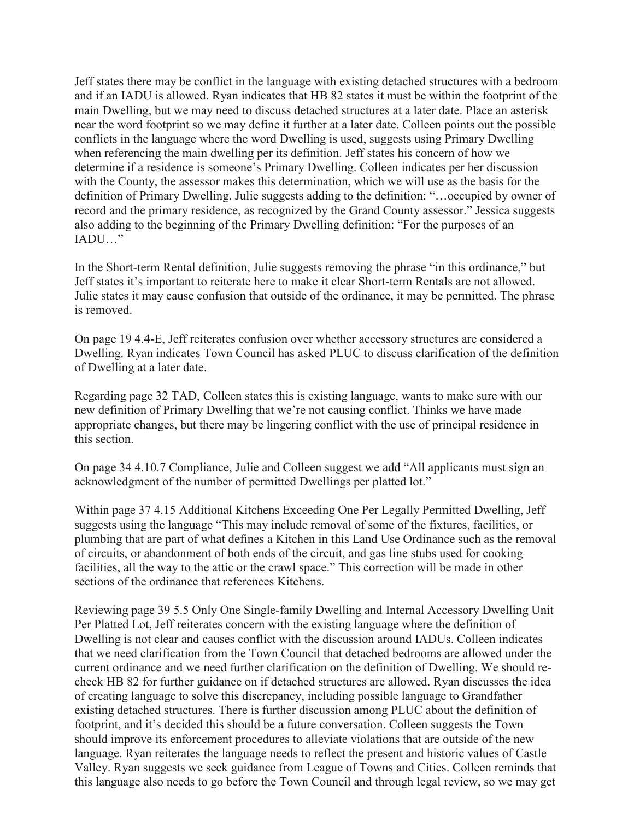Jeff states there may be conflict in the language with existing detached structures with a bedroom and if an IADU is allowed. Ryan indicates that HB 82 states it must be within the footprint of the main Dwelling, but we may need to discuss detached structures at a later date. Place an asterisk near the word footprint so we may define it further at a later date. Colleen points out the possible conflicts in the language where the word Dwelling is used, suggests using Primary Dwelling when referencing the main dwelling per its definition. Jeff states his concern of how we determine if a residence is someone's Primary Dwelling. Colleen indicates per her discussion with the County, the assessor makes this determination, which we will use as the basis for the definition of Primary Dwelling. Julie suggests adding to the definition: "…occupied by owner of record and the primary residence, as recognized by the Grand County assessor." Jessica suggests also adding to the beginning of the Primary Dwelling definition: "For the purposes of an IADU…"

In the Short-term Rental definition, Julie suggests removing the phrase "in this ordinance," but Jeff states it's important to reiterate here to make it clear Short-term Rentals are not allowed. Julie states it may cause confusion that outside of the ordinance, it may be permitted. The phrase is removed.

On page 19 4.4-E, Jeff reiterates confusion over whether accessory structures are considered a Dwelling. Ryan indicates Town Council has asked PLUC to discuss clarification of the definition of Dwelling at a later date.

Regarding page 32 TAD, Colleen states this is existing language, wants to make sure with our new definition of Primary Dwelling that we're not causing conflict. Thinks we have made appropriate changes, but there may be lingering conflict with the use of principal residence in this section.

On page 34 4.10.7 Compliance, Julie and Colleen suggest we add "All applicants must sign an acknowledgment of the number of permitted Dwellings per platted lot."

Within page 37 4.15 Additional Kitchens Exceeding One Per Legally Permitted Dwelling, Jeff suggests using the language "This may include removal of some of the fixtures, facilities, or plumbing that are part of what defines a Kitchen in this Land Use Ordinance such as the removal of circuits, or abandonment of both ends of the circuit, and gas line stubs used for cooking facilities, all the way to the attic or the crawl space." This correction will be made in other sections of the ordinance that references Kitchens.

Reviewing page 39 5.5 Only One Single-family Dwelling and Internal Accessory Dwelling Unit Per Platted Lot, Jeff reiterates concern with the existing language where the definition of Dwelling is not clear and causes conflict with the discussion around IADUs. Colleen indicates that we need clarification from the Town Council that detached bedrooms are allowed under the current ordinance and we need further clarification on the definition of Dwelling. We should recheck HB 82 for further guidance on if detached structures are allowed. Ryan discusses the idea of creating language to solve this discrepancy, including possible language to Grandfather existing detached structures. There is further discussion among PLUC about the definition of footprint, and it's decided this should be a future conversation. Colleen suggests the Town should improve its enforcement procedures to alleviate violations that are outside of the new language. Ryan reiterates the language needs to reflect the present and historic values of Castle Valley. Ryan suggests we seek guidance from League of Towns and Cities. Colleen reminds that this language also needs to go before the Town Council and through legal review, so we may get